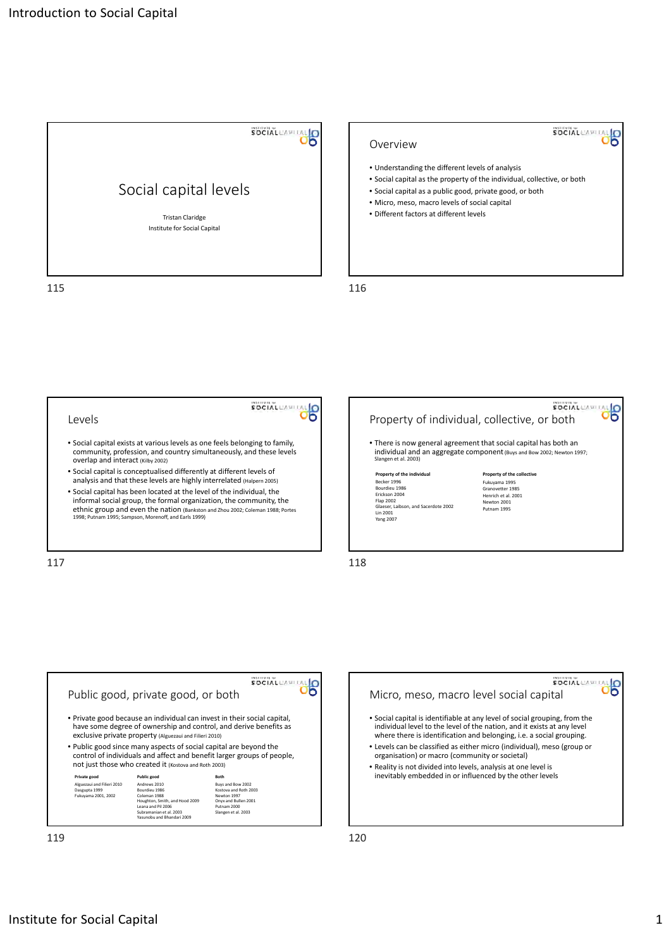

## SOCIAL CAPITAL Overview • Understanding the different levels of analysis • Social capital as the property of the individual, collective, or both • Social capital as a public good, private good, or both • Micro, meso, macro levels of social capital • Different factors at different levels





Institute for Social Capital 1 and 2008 1 and 2008 1 and 2008 1 and 2008 1 and 2008 1 and 2008 1 and 2008 1 and 2008 1 and 2008 1 and 2008 1 and 2008 1 and 2008 1 and 2008 1 and 2008 1 and 2008 1 and 2008 1 and 2008 1 and

**SOCIAL**CAPITA

မြိ